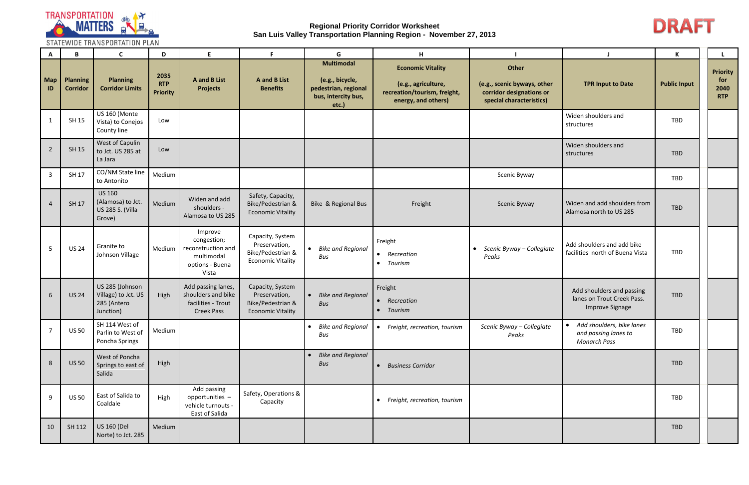

STATEWIDE TRANSPORTATION PLAN

| $\mathbf{A}$   | B                                  | C                                                                  | D                                     | E.                                                                                              | F.                                                                                 | G                                                                                            | н                                                                                                      |                                                                                              |                                                                            | K                   |                                              |
|----------------|------------------------------------|--------------------------------------------------------------------|---------------------------------------|-------------------------------------------------------------------------------------------------|------------------------------------------------------------------------------------|----------------------------------------------------------------------------------------------|--------------------------------------------------------------------------------------------------------|----------------------------------------------------------------------------------------------|----------------------------------------------------------------------------|---------------------|----------------------------------------------|
| Map<br>ID      | <b>Planning</b><br><b>Corridor</b> | <b>Planning</b><br><b>Corridor Limits</b>                          | 2035<br><b>RTP</b><br><b>Priority</b> | A and B List<br><b>Projects</b>                                                                 | <b>A</b> and <b>B</b> List<br><b>Benefits</b>                                      | <b>Multimodal</b><br>(e.g., bicycle,<br>pedestrian, regional<br>bus, intercity bus,<br>etc.) | <b>Economic Vitality</b><br>(e.g., agriculture,<br>recreation/tourism, freight,<br>energy, and others) | Other<br>(e.g., scenic byways, other<br>corridor designations or<br>special characteristics) | <b>TPR Input to Date</b>                                                   | <b>Public Input</b> | <b>Priority</b><br>for<br>2040<br><b>RTP</b> |
| $\mathbf{1}$   | SH 15                              | US 160 (Monte<br>Vista) to Conejos<br>County line                  | Low                                   |                                                                                                 |                                                                                    |                                                                                              |                                                                                                        |                                                                                              | Widen shoulders and<br>structures                                          | <b>TBD</b>          |                                              |
| $\overline{2}$ | SH 15                              | West of Capulin<br>to Jct. US 285 at<br>La Jara                    | Low                                   |                                                                                                 |                                                                                    |                                                                                              |                                                                                                        |                                                                                              | Widen shoulders and<br>structures                                          | <b>TBD</b>          |                                              |
| $\overline{3}$ | SH 17                              | CO/NM State line<br>to Antonito                                    | Medium                                |                                                                                                 |                                                                                    |                                                                                              |                                                                                                        | Scenic Byway                                                                                 |                                                                            | TBD                 |                                              |
| $\overline{4}$ | SH 17                              | <b>US 160</b><br>(Alamosa) to Jct.<br>US 285 S. (Villa<br>Grove)   | Medium                                | Widen and add<br>shoulders -<br>Alamosa to US 285                                               | Safety, Capacity,<br>Bike/Pedestrian &<br><b>Economic Vitality</b>                 | Bike & Regional Bus                                                                          | Freight                                                                                                | Scenic Byway                                                                                 | Widen and add shoulders from<br>Alamosa north to US 285                    | <b>TBD</b>          |                                              |
| 5              | <b>US 24</b>                       | Granite to<br>Johnson Village                                      |                                       | Improve<br>congestion;<br>Medium   reconstruction and<br>multimodal<br>options - Buena<br>Vista | Capacity, System<br>Preservation,<br>Bike/Pedestrian &<br><b>Economic Vitality</b> | <b>Bike and Regional</b><br>Bus                                                              | Freight<br>• Recreation<br>Tourism<br>$\bullet$                                                        | Scenic Byway - Collegiate<br>$\bullet$<br>Peaks                                              | Add shoulders and add bike<br>facilities north of Buena Vista              | <b>TBD</b>          |                                              |
| 6              | <b>US 24</b>                       | US 285 (Johnson<br>Village) to Jct. US<br>285 (Antero<br>Junction) | High                                  | Add passing lanes,<br>shoulders and bike<br>facilities - Trout<br><b>Creek Pass</b>             | Capacity, System<br>Preservation,<br>Bike/Pedestrian &<br><b>Economic Vitality</b> | <b>Bike and Regional</b><br>Bus                                                              | Freight<br>• Recreation<br>Tourism<br>$\bullet$                                                        |                                                                                              | Add shoulders and passing<br>lanes on Trout Creek Pass.<br>Improve Signage | <b>TBD</b>          |                                              |
| $\overline{7}$ | <b>US 50</b>                       | SH 114 West of<br>Parlin to West of<br>Poncha Springs              | Medium                                |                                                                                                 |                                                                                    | Bike and Regional<br>Bus                                                                     | Freight, recreation, tourism<br>$\bullet$                                                              | Scenic Byway - Collegiate<br>Peaks                                                           | • Add shoulders, bike lanes<br>and passing lanes to<br><b>Monarch Pass</b> | TBD                 |                                              |
| $8\phantom{1}$ | <b>US 50</b>                       | West of Poncha<br>Springs to east of<br>Salida                     | High                                  |                                                                                                 |                                                                                    | <b>Bike and Regional</b><br>Bus                                                              | • Business Corridor                                                                                    |                                                                                              |                                                                            | <b>TBD</b>          |                                              |
| 9              | <b>US 50</b>                       | East of Salida to<br>Coaldale                                      | High                                  | Add passing<br>opportunities -<br>vehicle turnouts -<br>East of Salida                          | Safety, Operations &<br>Capacity                                                   |                                                                                              | • Freight, recreation, tourism                                                                         |                                                                                              |                                                                            | TBD                 |                                              |
| 10             | SH 112                             | <b>US 160 (Del</b><br>Norte) to Jct. 285                           | Medium                                |                                                                                                 |                                                                                    |                                                                                              |                                                                                                        |                                                                                              |                                                                            | TBD                 |                                              |

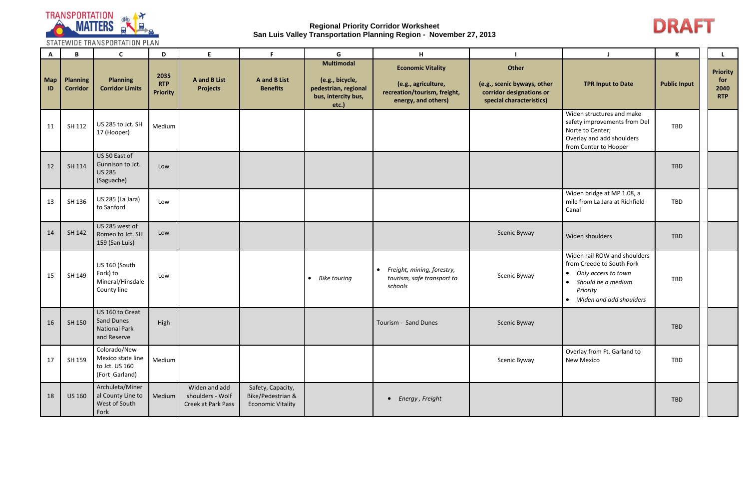

STATEWIDE TRANSPORTATION PLAN

| A         | B                                  | $\mathsf{C}$                                                          | D                                     | E.                                                      | F.                                                                 | G                                                                                            | H                                                                                                      |                                                                                              |                                                                                                                                                                         | Κ                   |                                              |
|-----------|------------------------------------|-----------------------------------------------------------------------|---------------------------------------|---------------------------------------------------------|--------------------------------------------------------------------|----------------------------------------------------------------------------------------------|--------------------------------------------------------------------------------------------------------|----------------------------------------------------------------------------------------------|-------------------------------------------------------------------------------------------------------------------------------------------------------------------------|---------------------|----------------------------------------------|
| Map<br>ID | <b>Planning</b><br><b>Corridor</b> | <b>Planning</b><br><b>Corridor Limits</b>                             | 2035<br><b>RTP</b><br><b>Priority</b> | <b>A</b> and <b>B</b> List<br><b>Projects</b>           | <b>A</b> and <b>B</b> List<br><b>Benefits</b>                      | <b>Multimodal</b><br>(e.g., bicycle,<br>pedestrian, regional<br>bus, intercity bus,<br>etc.) | <b>Economic Vitality</b><br>(e.g., agriculture,<br>recreation/tourism, freight,<br>energy, and others) | Other<br>(e.g., scenic byways, other<br>corridor designations or<br>special characteristics) | <b>TPR Input to Date</b>                                                                                                                                                | <b>Public Input</b> | <b>Priority</b><br>for<br>2040<br><b>RTP</b> |
| 11        | SH 112                             | US 285 to Jct. SH<br>17 (Hooper)                                      | Medium                                |                                                         |                                                                    |                                                                                              |                                                                                                        |                                                                                              | Widen structures and make<br>safety improvements from Del<br>Norte to Center;<br>Overlay and add shoulders<br>from Center to Hooper                                     | TBD                 |                                              |
| 12        | SH 114                             | US 50 East of<br>Gunnison to Jct.<br><b>US 285</b><br>(Saguache)      | Low                                   |                                                         |                                                                    |                                                                                              |                                                                                                        |                                                                                              |                                                                                                                                                                         | <b>TBD</b>          |                                              |
| 13        | SH 136                             | US 285 (La Jara)<br>to Sanford                                        | Low                                   |                                                         |                                                                    |                                                                                              |                                                                                                        |                                                                                              | Widen bridge at MP 1.08, a<br>mile from La Jara at Richfield<br>Canal                                                                                                   | TBD                 |                                              |
| 14        | SH 142                             | US 285 west of<br>Romeo to Jct. SH<br>159 (San Luis)                  | Low                                   |                                                         |                                                                    |                                                                                              |                                                                                                        | Scenic Byway                                                                                 | Widen shoulders                                                                                                                                                         | <b>TBD</b>          |                                              |
| 15        | SH 149                             | US 160 (South<br>Fork) to<br>Mineral/Hinsdale<br>County line          | Low                                   |                                                         |                                                                    | <b>Bike touring</b><br>$\bullet$                                                             | • Freight, mining, forestry,<br>tourism, safe transport to<br>schools                                  | Scenic Byway                                                                                 | Widen rail ROW and shoulders<br>from Creede to South Fork<br>Only access to town<br>$\bullet$<br>Should be a medium<br>$\bullet$<br>Priority<br>Widen and add shoulders | TBD                 |                                              |
| 16        | SH 150                             | US 160 to Great<br>Sand Dunes<br><b>National Park</b><br>and Reserve  | High                                  |                                                         |                                                                    |                                                                                              | Tourism - Sand Dunes                                                                                   | Scenic Byway                                                                                 |                                                                                                                                                                         | TBD                 |                                              |
| 17        | SH 159                             | Colorado/New<br>Mexico state line<br>to Jct. US 160<br>(Fort Garland) | Medium                                |                                                         |                                                                    |                                                                                              |                                                                                                        | Scenic Byway                                                                                 | Overlay from Ft. Garland to<br><b>New Mexico</b>                                                                                                                        | TBD                 |                                              |
| 18        | <b>US 160</b>                      | Archuleta/Miner<br>al County Line to<br>West of South<br>Fork         | Medium                                | Widen and add<br>shoulders - Wolf<br>Creek at Park Pass | Safety, Capacity,<br>Bike/Pedestrian &<br><b>Economic Vitality</b> |                                                                                              | • Energy, Freight                                                                                      |                                                                                              |                                                                                                                                                                         | TBD                 |                                              |

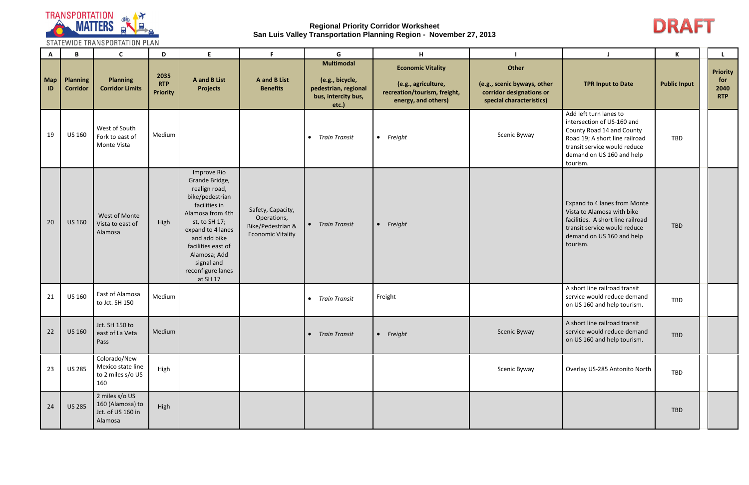

STATEWIDE TRANSPORTATION PLAN

| $\mathsf{A}$ | B                                  | $\mathsf{C}$                                                       | D                                     | E.                                                                                                                                                                                                                                                | F.                                                                                | G                                                                                            | H                                                                                                      |                                                                                              |                                                                                                                                                                                              | K                   |                                              |
|--------------|------------------------------------|--------------------------------------------------------------------|---------------------------------------|---------------------------------------------------------------------------------------------------------------------------------------------------------------------------------------------------------------------------------------------------|-----------------------------------------------------------------------------------|----------------------------------------------------------------------------------------------|--------------------------------------------------------------------------------------------------------|----------------------------------------------------------------------------------------------|----------------------------------------------------------------------------------------------------------------------------------------------------------------------------------------------|---------------------|----------------------------------------------|
| Map<br>ID    | <b>Planning</b><br><b>Corridor</b> | <b>Planning</b><br><b>Corridor Limits</b>                          | 2035<br><b>RTP</b><br><b>Priority</b> | <b>A</b> and <b>B</b> List<br><b>Projects</b>                                                                                                                                                                                                     | <b>A</b> and <b>B</b> List<br><b>Benefits</b>                                     | <b>Multimodal</b><br>(e.g., bicycle,<br>pedestrian, regional<br>bus, intercity bus,<br>etc.) | <b>Economic Vitality</b><br>(e.g., agriculture,<br>recreation/tourism, freight,<br>energy, and others) | Other<br>(e.g., scenic byways, other<br>corridor designations or<br>special characteristics) | <b>TPR Input to Date</b>                                                                                                                                                                     | <b>Public Input</b> | <b>Priority</b><br>for<br>2040<br><b>RTP</b> |
| 19           | <b>US 160</b>                      | West of South<br>Fork to east of<br>Monte Vista                    | Medium                                |                                                                                                                                                                                                                                                   |                                                                                   | • Train Transit                                                                              | Freight<br>$\bullet$                                                                                   | Scenic Byway                                                                                 | Add left turn lanes to<br>intersection of US-160 and<br>County Road 14 and County<br>Road 19; A short line railroad<br>transit service would reduce<br>demand on US 160 and help<br>tourism. | <b>TBD</b>          |                                              |
| 20           | <b>US 160</b>                      | West of Monte<br>Vista to east of<br>Alamosa                       | High                                  | Improve Rio<br>Grande Bridge,<br>realign road,<br>bike/pedestrian<br>facilities in<br>Alamosa from 4th<br>st, to SH 17;<br>expand to 4 lanes<br>and add bike<br>facilities east of<br>Alamosa; Add<br>signal and<br>reconfigure lanes<br>at SH 17 | Safety, Capacity,<br>Operations,<br>Bike/Pedestrian &<br><b>Economic Vitality</b> | • Train Transit                                                                              | Freight<br>$\bullet$                                                                                   |                                                                                              | Expand to 4 lanes from Monte<br>Vista to Alamosa with bike<br>facilities. A short line railroad<br>transit service would reduce<br>demand on US 160 and help<br>tourism.                     | <b>TBD</b>          |                                              |
| 21           | <b>US 160</b>                      | East of Alamosa<br>to Jct. SH 150                                  | Medium                                |                                                                                                                                                                                                                                                   |                                                                                   | • Train Transit                                                                              | Freight                                                                                                |                                                                                              | A short line railroad transit<br>service would reduce demand<br>on US 160 and help tourism.                                                                                                  | <b>TBD</b>          |                                              |
| 22           | <b>US 160</b>                      | Jct. SH 150 to<br>east of La Veta<br>Pass                          | Medium                                |                                                                                                                                                                                                                                                   |                                                                                   | • Train Transit                                                                              | • Freight                                                                                              | Scenic Byway                                                                                 | A short line railroad transit<br>service would reduce demand<br>on US 160 and help tourism.                                                                                                  | <b>TBD</b>          |                                              |
| 23           | <b>US 285</b>                      | Colorado/New<br>Mexico state line<br>to 2 miles s/o US<br>160      | High                                  |                                                                                                                                                                                                                                                   |                                                                                   |                                                                                              |                                                                                                        | Scenic Byway                                                                                 | Overlay US-285 Antonito North                                                                                                                                                                | <b>TBD</b>          |                                              |
| 24           | <b>US 285</b>                      | 2 miles s/o US<br>160 (Alamosa) to<br>Jct. of US 160 in<br>Alamosa | High                                  |                                                                                                                                                                                                                                                   |                                                                                   |                                                                                              |                                                                                                        |                                                                                              |                                                                                                                                                                                              | <b>TBD</b>          |                                              |